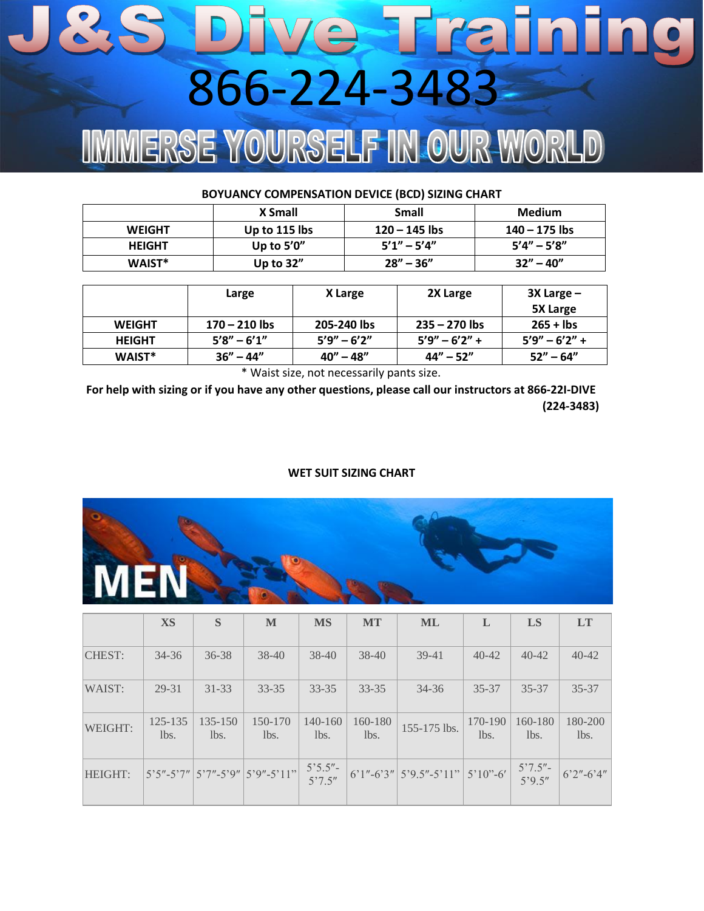## Dive Training 866-224-3483IMERSE YOURSELF IN OUR WORLD

| BOYUANCY COMPENSATION DEVICE (BCD) SIZING CHART |                 |                 |                 |  |  |  |
|-------------------------------------------------|-----------------|-----------------|-----------------|--|--|--|
|                                                 | X Small         | <b>Small</b>    | <b>Medium</b>   |  |  |  |
| <b>WEIGHT</b>                                   | Up to $115$ lbs | $120 - 145$ lbs | 140 – 175 lbs   |  |  |  |
| <b>HEIGHT</b>                                   | Up to $5'0''$   | $5'1'' - 5'4''$ | $5'4'' - 5'8''$ |  |  |  |
| WAIST*                                          | Up to $32''$    | $28'' - 36''$   | $32'' - 40''$   |  |  |  |

|               | Large           | X Large         | 2X Large          | $3X$ Large $-$    |
|---------------|-----------------|-----------------|-------------------|-------------------|
|               |                 |                 |                   | 5X Large          |
| <b>WEIGHT</b> | $170 - 210$ lbs | 205-240 lbs     | $235 - 270$ lbs   | $265 +$ lbs       |
| <b>HEIGHT</b> | $5'8'' - 6'1''$ | $5'9'' - 6'2''$ | $5'9'' - 6'2'' +$ | $5'9'' - 6'2'' +$ |
| WAIST*        | $36'' - 44''$   | $40'' - 48''$   | $44'' - 52''$     | $52" - 64"$       |

\* Waist size, not necessarily pants size.

**For help with sizing or if you have any other questions, please call our instructors at 866-22I-DIVE (224-3483)** 

## **WET SUIT SIZING CHART**



|                | <b>XS</b>       | S               | M                                          | <b>MS</b>                                                        | <b>MT</b>       | <b>ML</b>                               | L               | LS                  | <b>LT</b>       |
|----------------|-----------------|-----------------|--------------------------------------------|------------------------------------------------------------------|-----------------|-----------------------------------------|-----------------|---------------------|-----------------|
| <b>CHEST:</b>  | $34 - 36$       | $36 - 38$       | $38 - 40$                                  | $38 - 40$                                                        | $38 - 40$       | $39-41$                                 | $40 - 42$       | $40 - 42$           | $40 - 42$       |
| WAIST:         | 29-31           | $31 - 33$       | $33 - 35$                                  | $33 - 35$                                                        | $33 - 35$       | $34 - 36$                               | $35 - 37$       | $35 - 37$           | $35 - 37$       |
| WEIGHT:        | 125-135<br>lbs. | 135-150<br>lbs. | 150-170<br>lbs.                            | 140-160<br>lbs.                                                  | 160-180<br>lbs. | 155-175 lbs.                            | 170-190<br>lbs. | 160-180<br>lbs.     | 180-200<br>lbs. |
| <b>HEIGHT:</b> |                 |                 | $5'5''-5'7''$ $5'7''-5'9''$ $5'9''-5'11''$ | $5^{\circ}5.5^{\prime\prime}$ -<br>$5^{\circ}7.5^{\prime\prime}$ |                 | $6'1" - 6'3" 5'9.5" - 5'11" 5'10" - 6'$ |                 | $5'7.5'' - 5'9.5''$ | $6'2''-6'4''$   |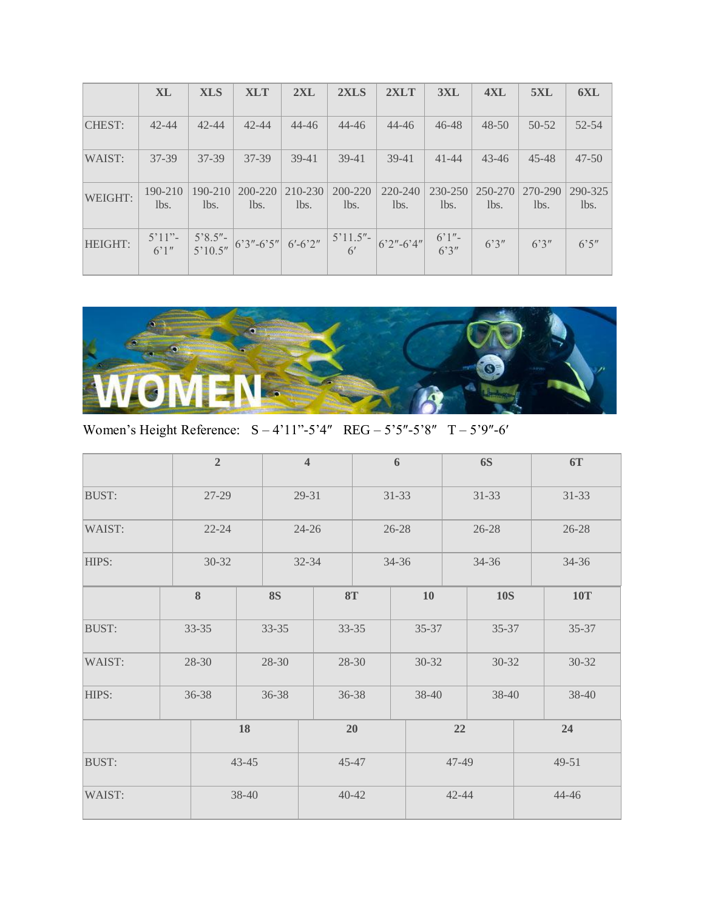|                | <b>XL</b>       | <b>XLS</b>          | <b>XLT</b>      | 2XL             | 2XLS            | 2XLT            | 3XL             | 4XL             | 5XL             | 6XL             |
|----------------|-----------------|---------------------|-----------------|-----------------|-----------------|-----------------|-----------------|-----------------|-----------------|-----------------|
| <b>CHEST:</b>  | $42 - 44$       | $42 - 44$           | $42 - 44$       | $44 - 46$       | $44 - 46$       | $44 - 46$       | $46 - 48$       | $48 - 50$       | $50 - 52$       | $52 - 54$       |
| WAIST:         | $37 - 39$       | $37 - 39$           | 37-39           | $39-41$         | $39-41$         | $39-41$         | $41 - 44$       | $43 - 46$       | 45-48           | $47 - 50$       |
| WEIGHT:        | 190-210<br>lbs. | $190 - 210$<br>lbs. | 200-220<br>lbs. | 210-230<br>lbs. | 200-220<br>lbs. | 220-240<br>lbs. | 230-250<br>lbs. | 250-270<br>lbs. | 270-290<br>lbs. | 290-325<br>lbs. |
| <b>HEIGHT:</b> |                 |                     |                 |                 |                 |                 |                 |                 | 6'3''           | 6'5''           |



Women's Height Reference: S – 4'11"-5'4″ REG – 5'5″-5'8″ T – 5'9″-6′

|              |           | $\overline{2}$         |    |           | $\overline{4}$ |                | 6     |                | <b>6S</b>  |  | <b>6T</b>  |  |       |
|--------------|-----------|------------------------|----|-----------|----------------|----------------|-------|----------------|------------|--|------------|--|-------|
| <b>BUST:</b> | 27-29     |                        |    | 29-31     |                | $31 - 33$      |       | $31 - 33$      |            |  | $31 - 33$  |  |       |
| WAIST:       | $22 - 24$ |                        |    | $24 - 26$ |                | $26 - 28$      |       | $26 - 28$      |            |  | $26 - 28$  |  |       |
| HIPS:        |           | $30 - 32$              |    | $32 - 34$ |                |                |       | 34-36<br>34-36 |            |  |            |  | 34-36 |
|              |           | $\bf 8$                |    | <b>8S</b> |                | <b>8T</b>      | 10    |                | <b>10S</b> |  | <b>10T</b> |  |       |
| <b>BUST:</b> |           | $33 - 35$<br>$33 - 35$ |    |           |                | $33 - 35$      | 35-37 |                | 35-37      |  | $35 - 37$  |  |       |
| WAIST:       |           | 28-30                  |    | 28-30     |                | 28-30          | 30-32 |                | $30 - 32$  |  | $30 - 32$  |  |       |
| HIPS:        | 36-38     |                        |    | 36-38     |                | 36-38<br>38-40 |       | 38-40          |            |  | 38-40      |  |       |
|              |           |                        | 18 |           |                | 20             |       | 22             |            |  | 24         |  |       |
| <b>BUST:</b> | $43 - 45$ |                        |    | $45 - 47$ |                |                |       | 47-49          |            |  | 49-51      |  |       |
| WAIST:       | 38-40     |                        |    |           |                | $40 - 42$      |       | $42 - 44$      |            |  | 44-46      |  |       |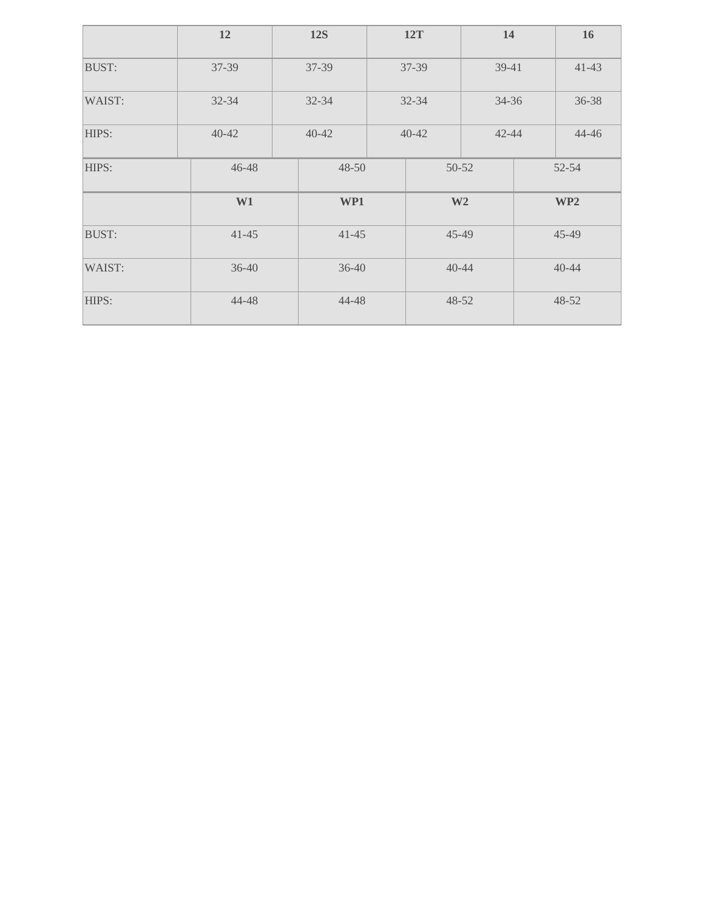|                           | 12        | <b>12S</b> |           | 14<br><b>12T</b> |           |                 | 16        |  |
|---------------------------|-----------|------------|-----------|------------------|-----------|-----------------|-----------|--|
| <b>BUST:</b>              | $37 - 39$ | 37-39      |           | 37-39<br>39-41   |           |                 | $41 - 43$ |  |
| WAIST:                    | $32 - 34$ | $32 - 34$  | $32 - 34$ |                  | $34 - 36$ |                 | 36-38     |  |
| HIPS:                     | $40 - 42$ | $40 - 42$  | $40 - 42$ |                  | $42 - 44$ |                 | 44-46     |  |
| HIPS:                     | 46-48     | 48-50      |           |                  | 50-52     |                 | 52-54     |  |
|                           | W1        | WP1        |           | W <sub>2</sub>   |           | WP <sub>2</sub> |           |  |
| <b>BUST:</b><br>$41 - 45$ |           | $41 - 45$  |           | 45-49            |           | $45 - 49$       |           |  |
| WAIST:                    | $36 - 40$ |            | $36 - 40$ | $40 - 44$        |           | $40 - 44$       |           |  |
| HIPS:                     | 44-48     |            | 44-48     |                  | 48-52     |                 | $48 - 52$ |  |